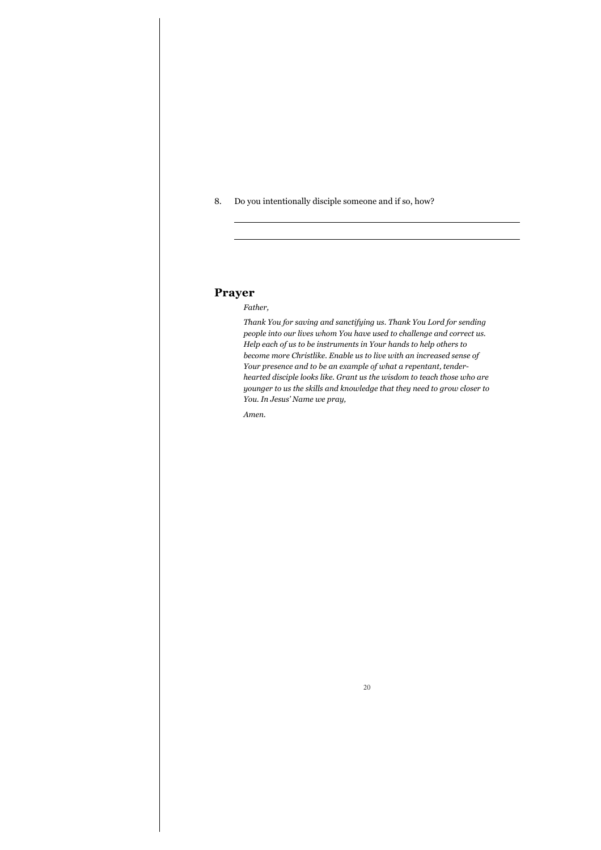8. Do you intentionally disciple someone and if so, how?

# **Prayer**

 $\overline{a}$ 

## *Father,*

*Thank You for saving and sanctifying us. Thank You Lord for sending people into our lives whom You have used to challenge and correct us. Help each of us to be instruments in Your hands to help others to become more Christlike. Enable us to live with an increased sense of Your presence and to be an example of what a repentant, tenderhearted disciple looks like. Grant us the wisdom to teach those who are younger to us the skills and knowledge that they need to grow closer to You. In Jesus' Name we pray,* 

*Amen.*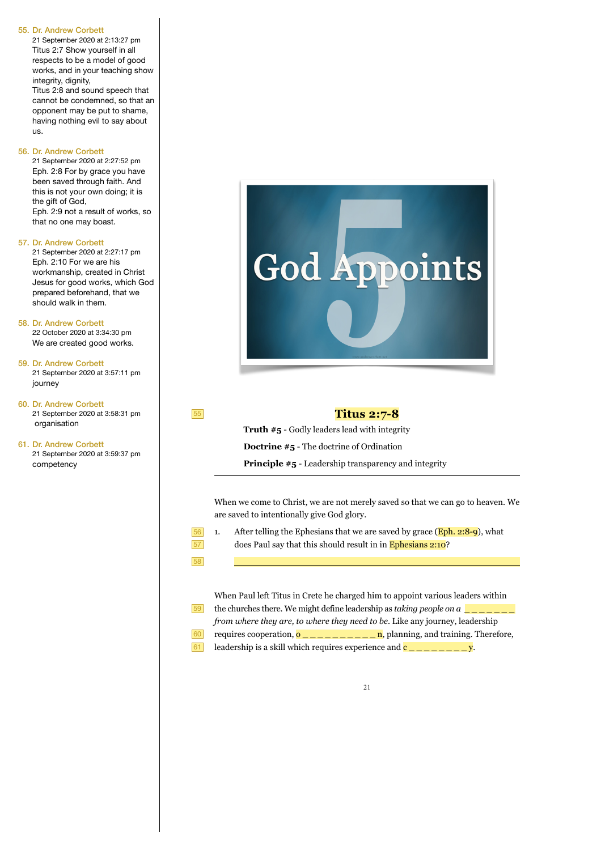21 September 2020 at 2:13:27 pm Titus 2:7 Show yourself in all respects to be a model of good works, and in your teaching show integrity, dignity,

Titus 2:8 and sound speech that cannot be condemned, so that an opponent may be put to shame, having nothing evil to say about us.

#### 56. Dr. Andrew Corbett

21 September 2020 at 2:27:52 pm Eph. 2:8 For by grace you have been saved through faith. And this is not your own doing; it is the gift of God, Eph. 2:9 not a result of works, so that no one may boast.

57. Dr. Andrew Corbett

21 September 2020 at 2:27:17 pm Eph. 2:10 For we are his workmanship, created in Christ Jesus for good works, which God prepared beforehand, that we should walk in them.

58. Dr. Andrew Corbett 22 October 2020 at 3:34:30 pm

We are created good works.

59. Dr. Andrew Corbett 21 September 2020 at 3:57:11 pm journey

60. Dr. Andrew Corbett 21 September 2020 at 3:58:31 pm organisation

61. Dr. Andrew Corbett 21 September 2020 at 3:59:37 pm competency



55

56 57 58

 $\overline{\phantom{a}}$ 

# **Titus 2:7-8**

**Truth #5** - Godly leaders lead with integrity **Doctrine #5** - The doctrine of Ordination

**Principle #5** - Leadership transparency and integrity

When we come to Christ, we are not merely saved so that we can go to heaven. We are saved to intentionally give God glory.

1. After telling the Ephesians that we are saved by grace  $(Eph. 2:8-9)$ , what does Paul say that this should result in in Ephesians 2:10?

When Paul left Titus in Crete he charged him to appoint various leaders within the churches there. We might define leadership as *taking people on a*  $\boxed{\phantom{a} \phantom{a}}$ *from where they are, to where they need to be*. Like any journey, leadership requires cooperation, o \_ \_ \_ \_ \_ \_ \_ \_ \_ \_ n, planning, and training. Therefore, leadership is a skill which requires experience and  $c_{\text{max}} = \frac{y}{x}$ . 59 60 61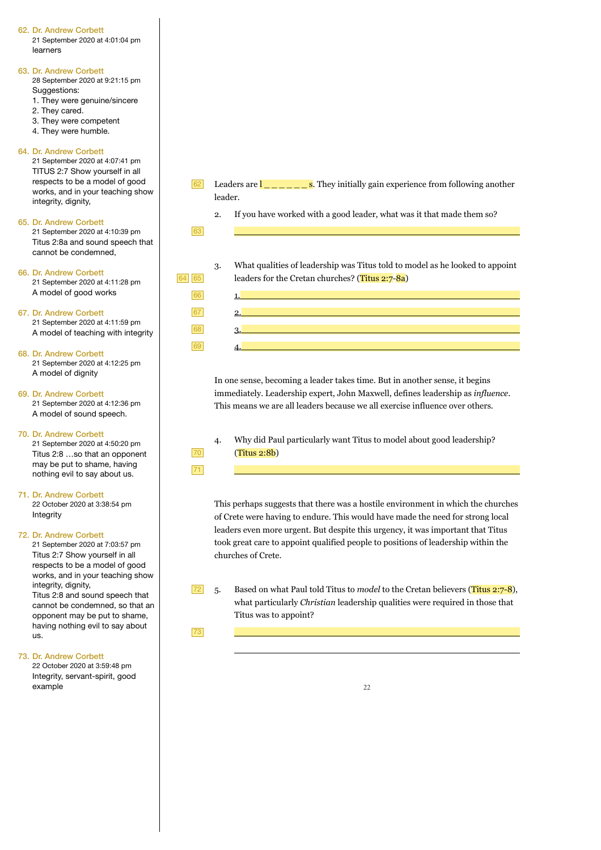21 September 2020 at 4:01:04 pm learners

#### 63. Dr. Andrew Corbett

28 September 2020 at 9:21:15 pm Suggestions:

- 1. They were genuine/sincere
- 2. They cared.
- 3. They were competent
- 4. They were humble.

### 64. Dr. Andrew Corbett

21 September 2020 at 4:07:41 pm TITUS 2:7 Show yourself in all respects to be a model of good works, and in your teaching show integrity, dignity,

### 65. Dr. Andrew Corbett

21 September 2020 at 4:10:39 pm Titus 2:8a and sound speech that cannot be condemned,

66. Dr. Andrew Corbett

21 September 2020 at 4:11:28 pm A model of good works

### 67. Dr. Andrew Corbett

21 September 2020 at 4:11:59 pm A model of teaching with integrity

### 68. Dr. Andrew Corbett

21 September 2020 at 4:12:25 pm A model of dignity

# 69. Dr. Andrew Corbett

21 September 2020 at 4:12:36 pm A model of sound speech.

### 70. Dr. Andrew Corbett

21 September 2020 at 4:50:20 pm Titus 2:8 …so that an opponent may be put to shame, having nothing evil to say about us.

## 71. Dr. Andrew Corbett

22 October 2020 at 3:38:54 pm Integrity

### 72. Dr. Andrew Corbett

21 September 2020 at 7:03:57 pm Titus 2:7 Show yourself in all respects to be a model of good works, and in your teaching show integrity, dignity, Titus 2:8 and sound speech that cannot be condemned, so that an opponent may be put to shame, having nothing evil to say about us.

### 73. Dr. Andrew Corbett

22 October 2020 at 3:59:48 pm Integrity, servant-spirit, good example

- Leaders are  $\frac{1}{\sqrt{2}}$   $\frac{1}{\sqrt{2}}$  as They initially gain experience from following another leader. 62
	- 2. If you have worked with a good leader, what was it that made them so?

63

1. 2. 3.  $\overline{A}$ .

3. What qualities of leadership was Titus told to model as he looked to appoint leaders for the Cretan churches? (Titus 2:7-8a)

In one sense, becoming a leader takes time. But in another sense, it begins immediately. Leadership expert, John Maxwell, defines leadership as *influence*. This means we are all leaders because we all exercise influence over others.

4. Why did Paul particularly want Titus to model about good leadership? (Titus 2:8b)

70 71

 $\overline{\phantom{a}}$ 

 $\overline{\phantom{a}}$ 

This perhaps suggests that there was a hostile environment in which the churches of Crete were having to endure. This would have made the need for strong local leaders even more urgent. But despite this urgency, it was important that Titus took great care to appoint qualified people to positions of leadership within the churches of Crete.

5. Based on what Paul told Titus to *model* to the Cretan believers (Titus 2:7-8), what particularly *Christian* leadership qualities were required in those that Titus was to appoint? 72

73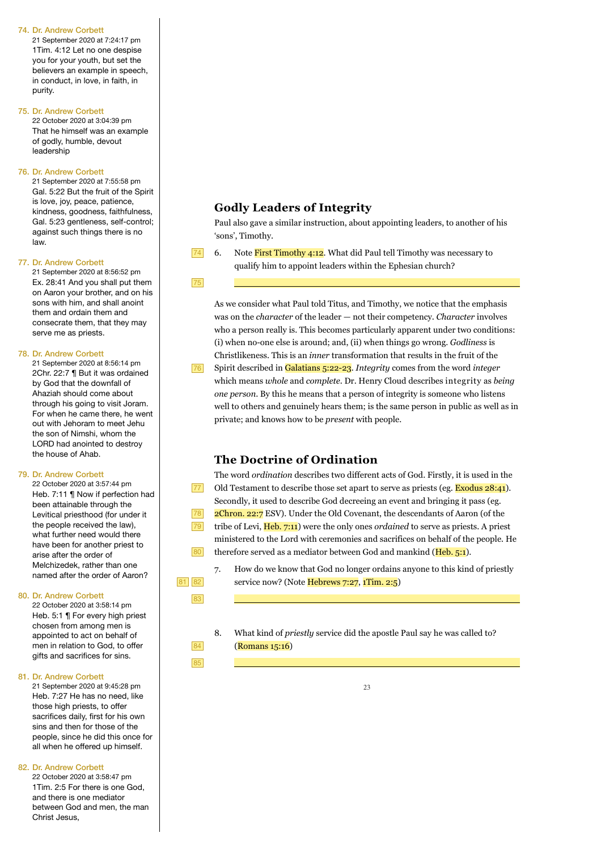21 September 2020 at 7:24:17 pm 1Tim. 4:12 Let no one despise you for your youth, but set the believers an example in speech, in conduct, in love, in faith, in purity.

#### 75. Dr. Andrew Corbett

22 October 2020 at 3:04:39 pm That he himself was an example of godly, humble, devout leadership

#### 76. Dr. Andrew Corbett

21 September 2020 at 7:55:58 pm Gal. 5:22 But the fruit of the Spirit is love, joy, peace, patience, kindness, goodness, faithfulness, Gal. 5:23 gentleness, self-control; against such things there is no law.

#### 77. Dr. Andrew Corbett

21 September 2020 at 8:56:52 pm Ex. 28:41 And you shall put them on Aaron your brother, and on his sons with him, and shall anoint them and ordain them and consecrate them, that they may serve me as priests.

#### 78. Dr. Andrew Corbett

21 September 2020 at 8:56:14 pm 2Chr. 22:7 ¶ But it was ordained by God that the downfall of Ahaziah should come about through his going to visit Joram. For when he came there, he went out with Jehoram to meet Jehu the son of Nimshi, whom the LORD had anointed to destroy the house of Ahab.

#### 79. Dr. Andrew Corbett

22 October 2020 at 3:57:44 pm Heb. 7:11 ¶ Now if perfection had been attainable through the Levitical priesthood (for under it the people received the law), what further need would there have been for another priest to arise after the order of Melchizedek, rather than one named after the order of Aaron?

#### 80. Dr. Andrew Corbett

22 October 2020 at 3:58:14 pm Heb. 5:1 ¶ For every high priest chosen from among men is appointed to act on behalf of men in relation to God, to offer gifts and sacrifices for sins.

#### 81. Dr. Andrew Corbett

21 September 2020 at 9:45:28 pm Heb. 7:27 He has no need, like those high priests, to offer sacrifices daily, first for his own sins and then for those of the people, since he did this once for all when he offered up himself.

### 82. Dr. Andrew Corbett

22 October 2020 at 3:58:47 pm 1Tim. 2:5 For there is one God, and there is one mediator between God and men, the man Christ Jesus,

# **Godly Leaders of Integrity**

Paul also gave a similar instruction, about appointing leaders, to another of his 'sons', Timothy.

- 74
- 6. Note First Timothy 4:12. What did Paul tell Timothy was necessary to qualify him to appoint leaders within the Ephesian church?

### 75

As we consider what Paul told Titus, and Timothy, we notice that the emphasis was on the *character* of the leader — not their competency. *Character* involves who a person really is. This becomes particularly apparent under two conditions: (i) when no-one else is around; and, (ii) when things go wrong. *Godliness* is Christlikeness. This is an *inner* transformation that results in the fruit of the Spirit described in Galatians 5:22-23. *Integrity* comes from the word *integer* which means *whole* and *complete*. Dr. Henry Cloud describes integrity as *being one person*. By this he means that a person of integrity is someone who listens well to others and genuinely hears them; is the same person in public as well as in private; and knows how to be *present* with people. 76

# **The Doctrine of Ordination**

 $\overline{\phantom{a}}$ 

81 82 83

> 84 85

The word *ordination* describes two different acts of God. Firstly, it is used in the Old Testament to describe those set apart to serve as priests (eg. **Exodus 28:41**). Secondly, it used to describe God decreeing an event and bringing it pass (eg. 2Chron. 22:7 ESV). Under the Old Covenant, the descendants of Aaron (of the tribe of Levi, Heb. 7:11) were the only ones *ordained* to serve as priests. A priest ministered to the Lord with ceremonies and sacrifices on behalf of the people. He therefore served as a mediator between God and mankind (Heb. 5:1). 77 78 79 80

- 7. How do we know that God no longer ordains anyone to this kind of priestly service now? (Note Hebrews 7:27, 1Tim. 2:5)
- 8. What kind of *priestly* service did the apostle Paul say he was called to? (Romans 15:16)

 $2<sup>3</sup>$